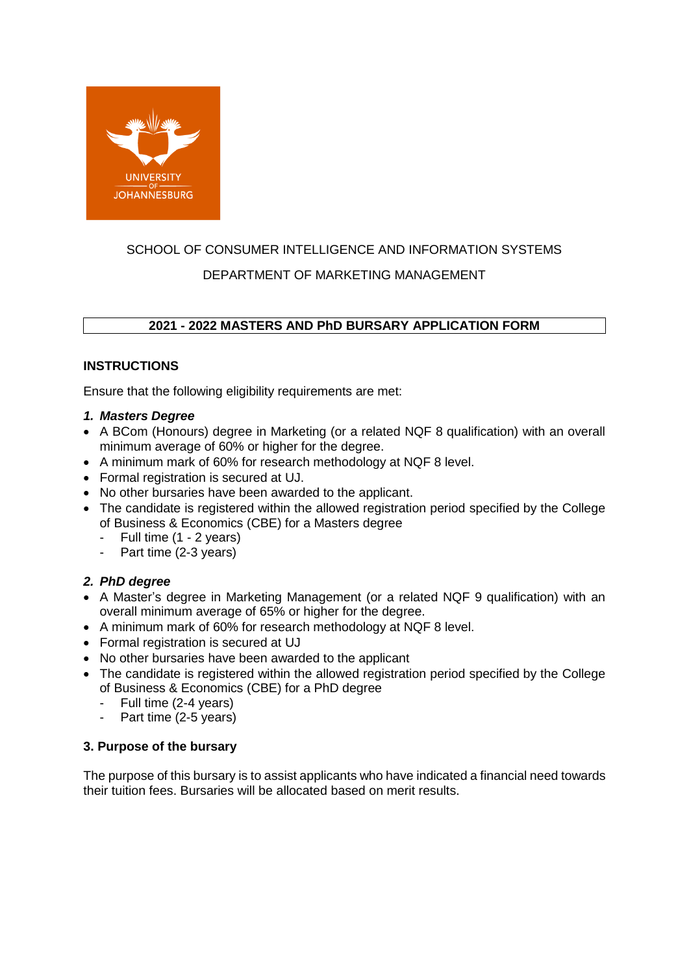

# SCHOOL OF CONSUMER INTELLIGENCE AND INFORMATION SYSTEMS DEPARTMENT OF MARKETING MANAGEMENT

# **2021 - 2022 MASTERS AND PhD BURSARY APPLICATION FORM**

# **INSTRUCTIONS**

Ensure that the following eligibility requirements are met:

#### *1. Masters Degree*

- A BCom (Honours) degree in Marketing (or a related NQF 8 qualification) with an overall minimum average of 60% or higher for the degree.
- A minimum mark of 60% for research methodology at NQF 8 level.
- Formal registration is secured at UJ.
- No other bursaries have been awarded to the applicant.
- The candidate is registered within the allowed registration period specified by the College of Business & Economics (CBE) for a Masters degree
	- Full time (1 2 years)
	- Part time (2-3 years)

# *2. PhD degree*

- A Master's degree in Marketing Management (or a related NQF 9 qualification) with an overall minimum average of 65% or higher for the degree.
- A minimum mark of 60% for research methodology at NQF 8 level.
- Formal registration is secured at UJ
- No other bursaries have been awarded to the applicant
- The candidate is registered within the allowed registration period specified by the College of Business & Economics (CBE) for a PhD degree
	- Full time (2-4 years)
	- Part time (2-5 years)

#### **3. Purpose of the bursary**

The purpose of this bursary is to assist applicants who have indicated a financial need towards their tuition fees. Bursaries will be allocated based on merit results.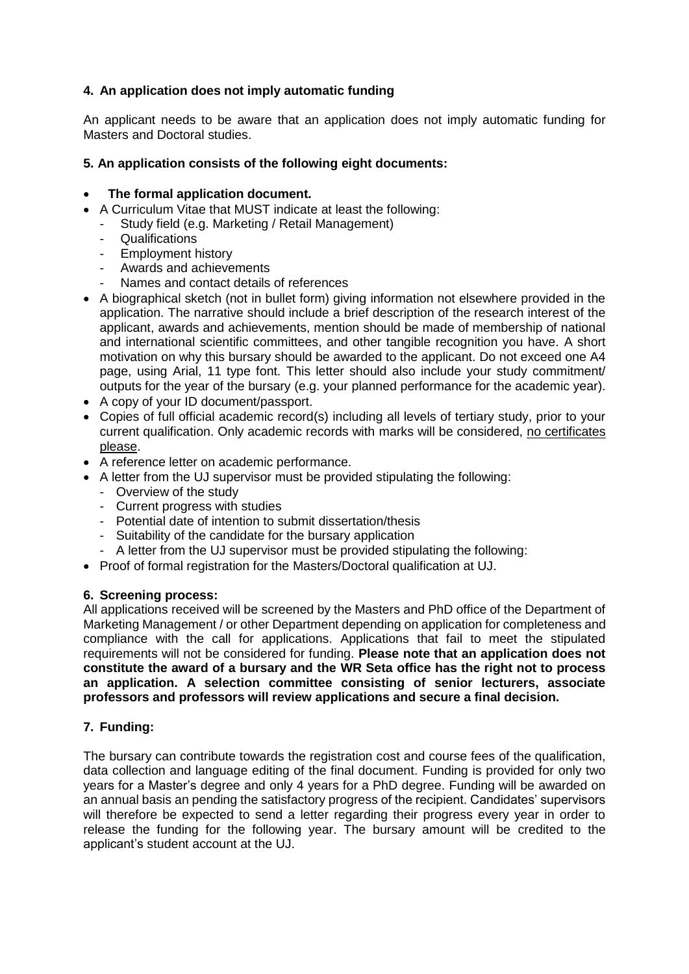## **4. An application does not imply automatic funding**

An applicant needs to be aware that an application does not imply automatic funding for Masters and Doctoral studies.

#### **5. An application consists of the following eight documents:**

## **The formal application document.**

- A Curriculum Vitae that MUST indicate at least the following:
	- Study field (e.g. Marketing / Retail Management)
	- Qualifications
	- Employment history
	- Awards and achievements
	- Names and contact details of references
- A biographical sketch (not in bullet form) giving information not elsewhere provided in the application. The narrative should include a brief description of the research interest of the applicant, awards and achievements, mention should be made of membership of national and international scientific committees, and other tangible recognition you have. A short motivation on why this bursary should be awarded to the applicant. Do not exceed one A4 page, using Arial, 11 type font. This letter should also include your study commitment/ outputs for the year of the bursary (e.g. your planned performance for the academic year).
- A copy of your ID document/passport.
- Copies of full official academic record(s) including all levels of tertiary study, prior to your current qualification. Only academic records with marks will be considered, no certificates please.
- A reference letter on academic performance.
- A letter from the UJ supervisor must be provided stipulating the following:
	- Overview of the study
	- Current progress with studies
	- Potential date of intention to submit dissertation/thesis
	- Suitability of the candidate for the bursary application
	- A letter from the UJ supervisor must be provided stipulating the following:
- Proof of formal registration for the Masters/Doctoral qualification at UJ.

#### **6. Screening process:**

All applications received will be screened by the Masters and PhD office of the Department of Marketing Management / or other Department depending on application for completeness and compliance with the call for applications. Applications that fail to meet the stipulated requirements will not be considered for funding. **Please note that an application does not constitute the award of a bursary and the WR Seta office has the right not to process an application. A selection committee consisting of senior lecturers, associate professors and professors will review applications and secure a final decision.** 

# **7. Funding:**

The bursary can contribute towards the registration cost and course fees of the qualification, data collection and language editing of the final document. Funding is provided for only two years for a Master's degree and only 4 years for a PhD degree. Funding will be awarded on an annual basis an pending the satisfactory progress of the recipient. Candidates' supervisors will therefore be expected to send a letter regarding their progress every year in order to release the funding for the following year. The bursary amount will be credited to the applicant's student account at the UJ.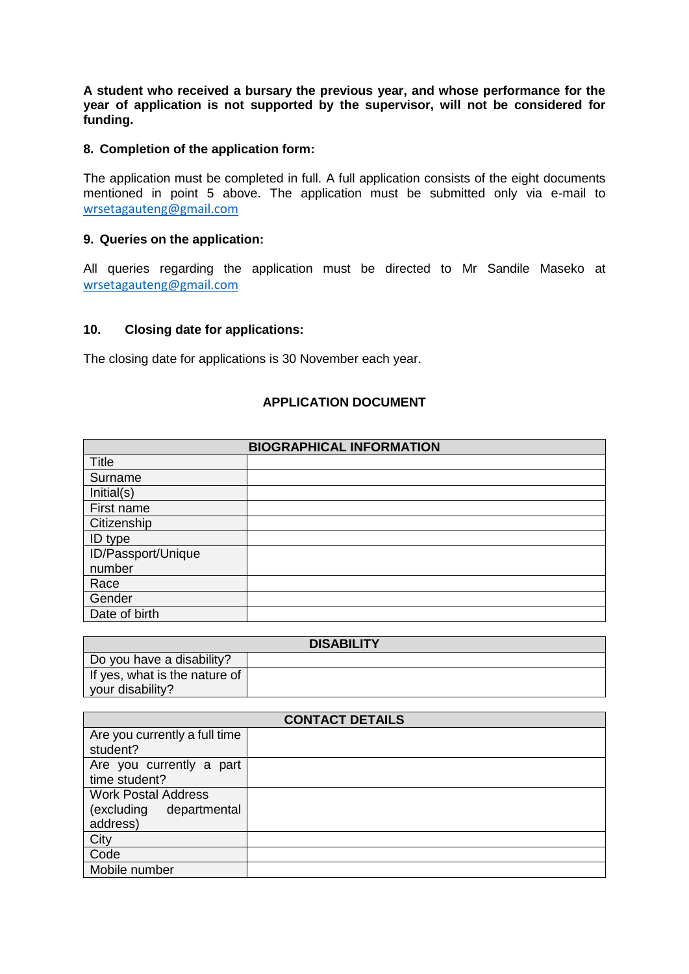**A student who received a bursary the previous year, and whose performance for the year of application is not supported by the supervisor, will not be considered for funding.** 

#### **8. Completion of the application form:**

The application must be completed in full. A full application consists of the eight documents mentioned in point 5 above. The application must be submitted only via e-mail to [wrsetagauteng@gmail.com](mailto:wrsetagauteng@gmail.com)

#### **9. Queries on the application:**

All queries regarding the application must be directed to Mr Sandile Maseko at [wrsetagauteng@gmail.com](mailto:wrsetagauteng@gmail.com)

#### **10. Closing date for applications:**

The closing date for applications is 30 November each year.

## **APPLICATION DOCUMENT**

| <b>BIOGRAPHICAL INFORMATION</b> |  |  |
|---------------------------------|--|--|
| <b>Title</b>                    |  |  |
| Surname                         |  |  |
| Initial(s)                      |  |  |
| First name                      |  |  |
| Citizenship                     |  |  |
| <b>ID</b> type                  |  |  |
| ID/Passport/Unique              |  |  |
| number                          |  |  |
| Race                            |  |  |
| Gender                          |  |  |
| Date of birth                   |  |  |

| <b>DISABILITY</b>             |  |  |
|-------------------------------|--|--|
| Do you have a disability?     |  |  |
| If yes, what is the nature of |  |  |
| your disability?              |  |  |

| <b>CONTACT DETAILS</b>        |  |  |
|-------------------------------|--|--|
| Are you currently a full time |  |  |
| student?                      |  |  |
| Are you currently a part      |  |  |
| time student?                 |  |  |
| <b>Work Postal Address</b>    |  |  |
| (excluding<br>departmental    |  |  |
| address)                      |  |  |
| City                          |  |  |
| Code                          |  |  |
| Mobile number                 |  |  |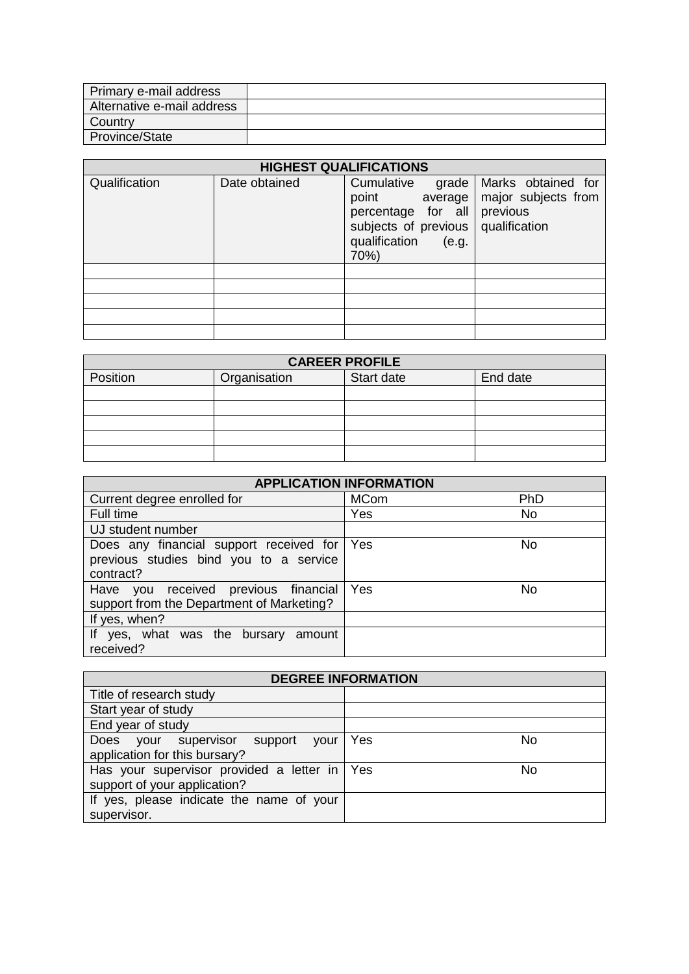| Primary e-mail address     |  |
|----------------------------|--|
| Alternative e-mail address |  |
| Country                    |  |
| Province/State             |  |

| <b>HIGHEST QUALIFICATIONS</b> |               |                                                                                                                         |                                                                        |
|-------------------------------|---------------|-------------------------------------------------------------------------------------------------------------------------|------------------------------------------------------------------------|
| Qualification                 | Date obtained | Cumulative<br>grade<br>point<br>average<br>percentage for all<br>subjects of previous<br>qualification<br>(e.g.<br>70%) | Marks obtained for<br>major subjects from<br>previous<br>qualification |
|                               |               |                                                                                                                         |                                                                        |
|                               |               |                                                                                                                         |                                                                        |
|                               |               |                                                                                                                         |                                                                        |
|                               |               |                                                                                                                         |                                                                        |
|                               |               |                                                                                                                         |                                                                        |

| <b>CAREER PROFILE</b> |              |            |          |
|-----------------------|--------------|------------|----------|
| Position              | Organisation | Start date | End date |
|                       |              |            |          |
|                       |              |            |          |
|                       |              |            |          |
|                       |              |            |          |
|                       |              |            |          |

| <b>APPLICATION INFORMATION</b>                                                        |             |            |
|---------------------------------------------------------------------------------------|-------------|------------|
| Current degree enrolled for                                                           | <b>MCom</b> | <b>PhD</b> |
| Full time                                                                             | Yes         | No         |
| UJ student number                                                                     |             |            |
| Does any financial support received for Yes<br>previous studies bind you to a service |             | No         |
| contract?                                                                             |             |            |
| Have you received previous financial<br>support from the Department of Marketing?     | Yes         | No         |
| If yes, when?                                                                         |             |            |
| If yes, what was the bursary<br>amount<br>received?                                   |             |            |

| <b>DEGREE INFORMATION</b>                    |           |  |
|----------------------------------------------|-----------|--|
| Title of research study                      |           |  |
| Start year of study                          |           |  |
| End year of study                            |           |  |
| Does your supervisor support<br>vour         | Yes<br>No |  |
| application for this bursary?                |           |  |
| Has your supervisor provided a letter in Yes | No        |  |
| support of your application?                 |           |  |
| If yes, please indicate the name of your     |           |  |
| supervisor.                                  |           |  |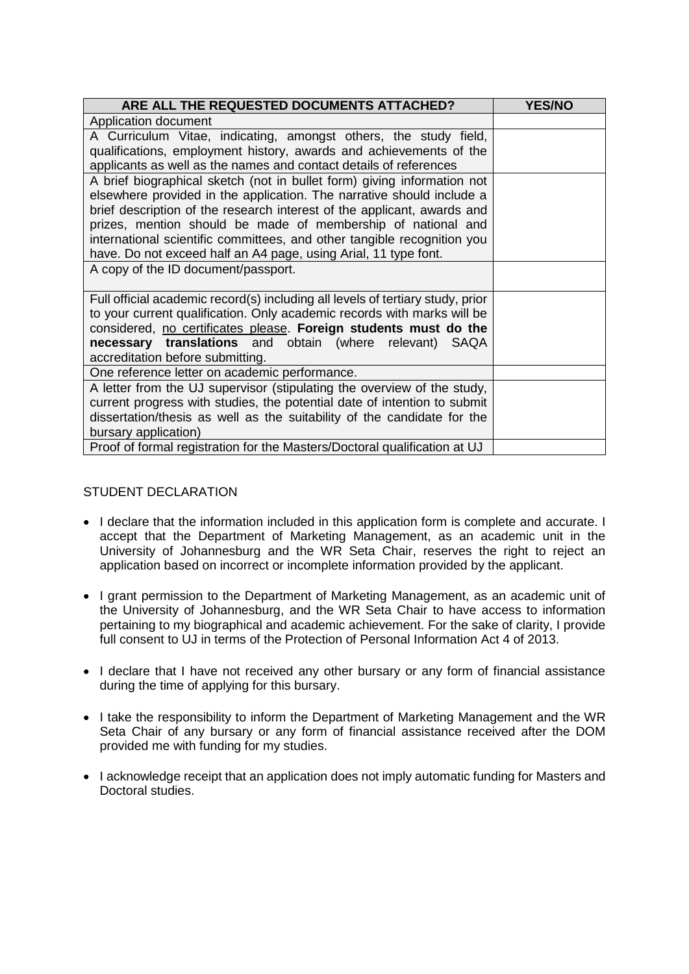| ARE ALL THE REQUESTED DOCUMENTS ATTACHED?                                      | <b>YES/NO</b> |
|--------------------------------------------------------------------------------|---------------|
| Application document                                                           |               |
| A Curriculum Vitae, indicating, amongst others, the study field,               |               |
| qualifications, employment history, awards and achievements of the             |               |
| applicants as well as the names and contact details of references              |               |
| A brief biographical sketch (not in bullet form) giving information not        |               |
| elsewhere provided in the application. The narrative should include a          |               |
| brief description of the research interest of the applicant, awards and        |               |
| prizes, mention should be made of membership of national and                   |               |
| international scientific committees, and other tangible recognition you        |               |
| have. Do not exceed half an A4 page, using Arial, 11 type font.                |               |
| A copy of the ID document/passport.                                            |               |
| Full official academic record(s) including all levels of tertiary study, prior |               |
| to your current qualification. Only academic records with marks will be        |               |
| considered, no certificates please. Foreign students must do the               |               |
| necessary translations and obtain (where relevant) SAQA                        |               |
| accreditation before submitting.                                               |               |
| One reference letter on academic performance.                                  |               |
| A letter from the UJ supervisor (stipulating the overview of the study,        |               |
| current progress with studies, the potential date of intention to submit       |               |
| dissertation/thesis as well as the suitability of the candidate for the        |               |
| bursary application)                                                           |               |
| Proof of formal registration for the Masters/Doctoral qualification at UJ      |               |

## STUDENT DECLARATION

- I declare that the information included in this application form is complete and accurate. I accept that the Department of Marketing Management, as an academic unit in the University of Johannesburg and the WR Seta Chair, reserves the right to reject an application based on incorrect or incomplete information provided by the applicant.
- I grant permission to the Department of Marketing Management, as an academic unit of the University of Johannesburg, and the WR Seta Chair to have access to information pertaining to my biographical and academic achievement. For the sake of clarity, I provide full consent to UJ in terms of the Protection of Personal Information Act 4 of 2013.
- I declare that I have not received any other bursary or any form of financial assistance during the time of applying for this bursary.
- I take the responsibility to inform the Department of Marketing Management and the WR Seta Chair of any bursary or any form of financial assistance received after the DOM provided me with funding for my studies.
- I acknowledge receipt that an application does not imply automatic funding for Masters and Doctoral studies.